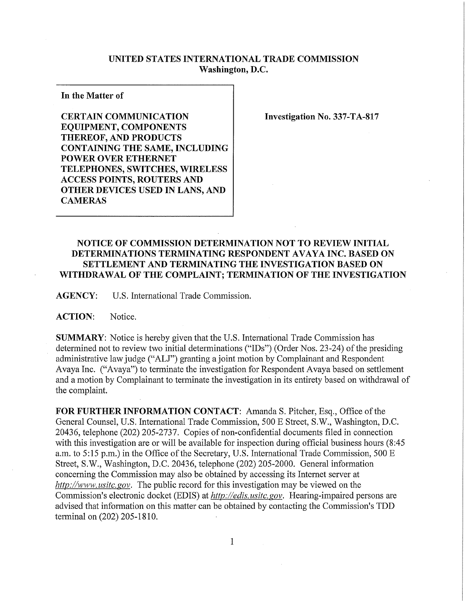## **UNITED STATES INTERNATIONAL TRADE COMMISSION Washington, D.C.**

**In the Matter of** 

**CERTAIN COMMUNICATION EQUIPMENT, COMPONENTS THEREOF, AND PRODUCTS CONTAINING THE SAME, INCLUDING POWER OVER ETHERNET TELEPHONES, SWITCHES, WIRELES S ACCESS POINTS, ROUTERS AND OTHER DEVICES USED IN LANS, AND CAMERAS** 

**Investigation No. 337-TA-817** 

## **NOTICE OF COMMISSION DETERMINATION NOT TO REVIEW INITIAL DETERMINATIONS TERMINATING RESPONDENT AVAYA INC. BASED ON SETTLEMENT AND TERMINATING THE INVESTIGATION BASED ON WITHDRAWAL OF THE COMPLAINT; TERMINATION OF THE INVESTIGATION**

**AGENCY:** U.S. International Trade Commission.

**ACTION:** Notice.

**SUMMARY:** Notice is hereby given that the U.S. International Trade Commission has determined not to review two initial determinations ("IDs") (Order Nos. 23-24) of the presiding administrative law judge ("ALJ") granting a joint motion by Complainant and Respondent Avaya Inc. ("Avaya") to terminate the investigation for Respondent Avaya based on settlement and a motion by Complainant to terminate the investigation in its entirety based on withdrawal of the complaint.

FOR FURTHER INFORMATION CONTACT: Amanda S. Pitcher, Esq., Office of the General Counsel, U.S. International Trade Commission, 500 E Street, S.W., Washington, D.C. 20436, telephone (202) 205-2737. Copies of non-confidential documents filed in connection with this investigation are or will be available for inspection during official business hours (8:45 a.m. to 5:15 p.m.) in the Office of the Secretary, U.S. International Trade Commission, 500 E Street, S.W., Washington, D.C. 20436, telephone (202) 205-2000. General information concerning the Commission may also be obtained by accessing its Internet server at *http://www, usitc. gov.* The public record for this investigation may be viewed on the Commission's electronic docket (EDIS) at *http://edis. usitc.gov.* Hearing-impaired persons are advised that information on this matter can be obtained by contacting the Commission's TDD terminal on (202) 205-1810.